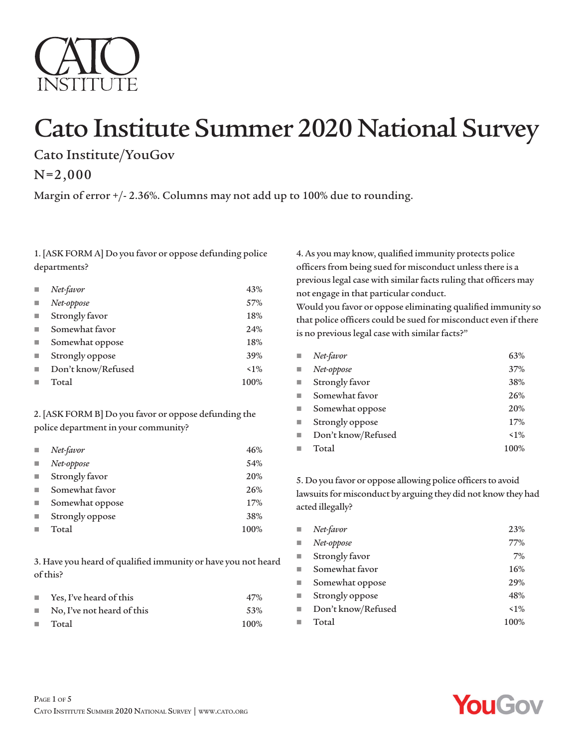

# Cato Institute Summer 2020 National Survey

Cato Institute/YouGov

N=2,000

Margin of error +/- 2.36%. Columns may not add up to 100% due to rounding.

1. [ASK FORM A] Do you favor or oppose defunding police departments?

|   | Net-favor          | 43%   |
|---|--------------------|-------|
|   | Net-oppose         | 57%   |
| П | Strongly favor     | 18%   |
|   | Somewhat favor     | 24%   |
| п | Somewhat oppose    | 18%   |
| п | Strongly oppose    | 39%   |
|   | Don't know/Refused | $1\%$ |
|   | Total              | 100%  |

# 2. [ASK FORM B] Do you favor or oppose defunding the police department in your community?

| L. | Net-favor       | 46%  |
|----|-----------------|------|
| ×  | Net-oppose      | 54%  |
|    | Strongly favor  | 20%  |
|    | Somewhat favor  | 26%  |
|    | Somewhat oppose | 17%  |
|    | Strongly oppose | 38%  |
|    | Total           | 100% |

3. Have you heard of qualified immunity or have you not heard of this?

| <b>The Contractor</b> | Yes, I've heard of this    | 47%  |
|-----------------------|----------------------------|------|
| <b>The Contract</b>   | No, I've not heard of this | 53%  |
| <b>The Contract</b>   | Total                      | 100% |

4. As you may know, qualified immunity protects police officers from being sued for misconduct unless there is a previous legal case with similar facts ruling that officers may not engage in that particular conduct.

Would you favor or oppose eliminating qualified immunity so that police officers could be sued for misconduct even if there is no previous legal case with similar facts?"

| ٠                        | Net-favor          | 63%   |
|--------------------------|--------------------|-------|
| ٠                        | Net-oppose         | 37%   |
| $\overline{\phantom{a}}$ | Strongly favor     | 38%   |
| ٠                        | Somewhat favor     | 26%   |
| $\blacksquare$           | Somewhat oppose    | 20%   |
| ٠                        | Strongly oppose    | 17%   |
| ٠                        | Don't know/Refused | $1\%$ |
| ш                        | Total              | 100%  |

5. Do you favor or oppose allowing police officers to avoid lawsuits for misconduct by arguing they did not know they had acted illegally?

| ш                        | Net-favor          | 23%   |
|--------------------------|--------------------|-------|
| ٠                        | Net-oppose         | 77%   |
| $\overline{\phantom{a}}$ | Strongly favor     | 7%    |
| ٠                        | Somewhat favor     | 16%   |
| $\blacksquare$           | Somewhat oppose    | 29%   |
| ٠                        | Strongly oppose    | 48%   |
| ٠                        | Don't know/Refused | $1\%$ |
| ш                        | Total              | 100%  |

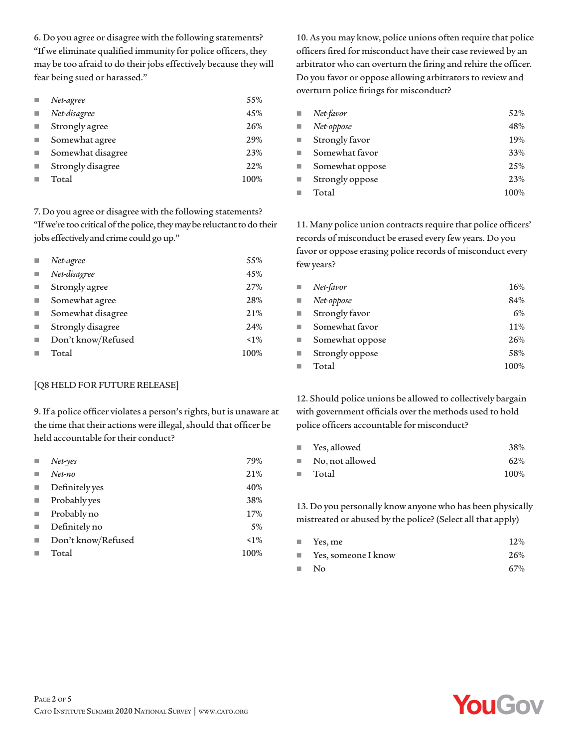6. Do you agree or disagree with the following statements? "If we eliminate qualified immunity for police officers, they may be too afraid to do their jobs effectively because they will fear being sued or harassed."

| Net-agree         | 55%  |
|-------------------|------|
| Net-disagree      | 45%  |
| Strongly agree    | 26%  |
| Somewhat agree    | 29%  |
| Somewhat disagree | 23%  |
| Strongly disagree | 22%  |
| Total             | 100% |

7. Do you agree or disagree with the following statements? "If we're too critical of the police, they may be reluctant to do their jobs effectively and crime could go up."

| Net-agree          | 55%   |
|--------------------|-------|
| Net-disagree       | 45%   |
| Strongly agree     | 27%   |
| Somewhat agree     | 28%   |
| Somewhat disagree  | 21%   |
| Strongly disagree  | 24%   |
| Don't know/Refused | $1\%$ |
| Total              | 100%  |

## [Q8 HELD FOR FUTURE RELEASE]

9. If a police officer violates a person's rights, but is unaware at the time that their actions were illegal, should that officer be held accountable for their conduct?

| $Net$ -yes         | 79%   |
|--------------------|-------|
| Net-no             | 21%   |
| Definitely yes     | 40%   |
| Probably yes       | 38%   |
| Probably no        | 17%   |
| Definitely no      | 5%    |
| Don't know/Refused | $1\%$ |
| Total              | 100%  |
|                    |       |

10. As you may know, police unions often require that police officers fired for misconduct have their case reviewed by an arbitrator who can overturn the firing and rehire the officer. Do you favor or oppose allowing arbitrators to review and overturn police firings for misconduct?

| ш | Net-favor       | 52%  |
|---|-----------------|------|
|   | Net-oppose      | 48%  |
|   | Strongly favor  | 19%  |
|   | Somewhat favor  | 33%  |
|   | Somewhat oppose | 25%  |
|   | Strongly oppose | 23%  |
|   | Total           | 100% |

11. Many police union contracts require that police officers' records of misconduct be erased every few years. Do you favor or oppose erasing police records of misconduct every few years?

| $\mathcal{L}_{\mathcal{A}}$ | Net-favor       | 16%  |
|-----------------------------|-----------------|------|
| $\blacksquare$              | Net-oppose      | 84%  |
| $\mathcal{L}_{\mathcal{A}}$ | Strongly favor  | 6%   |
| ٠                           | Somewhat favor  | 11%  |
| $\blacksquare$              | Somewhat oppose | 26%  |
| $\blacksquare$              | Strongly oppose | 58%  |
| п                           | Total           | 100% |

12. Should police unions be allowed to collectively bargain with government officials over the methods used to hold police officers accountable for misconduct?

| u. | Yes, allowed                   | 38%  |
|----|--------------------------------|------|
|    | $\blacksquare$ No, not allowed | 62%  |
| ш. | Total                          | 100% |

13. Do you personally know anyone who has been physically mistreated or abused by the police? (Select all that apply)

|                  | $\blacksquare$ Yes, me             | 12% |
|------------------|------------------------------------|-----|
|                  | $\blacksquare$ Yes, someone I know | 26% |
| <b>The State</b> | N <sub>0</sub>                     | 67% |

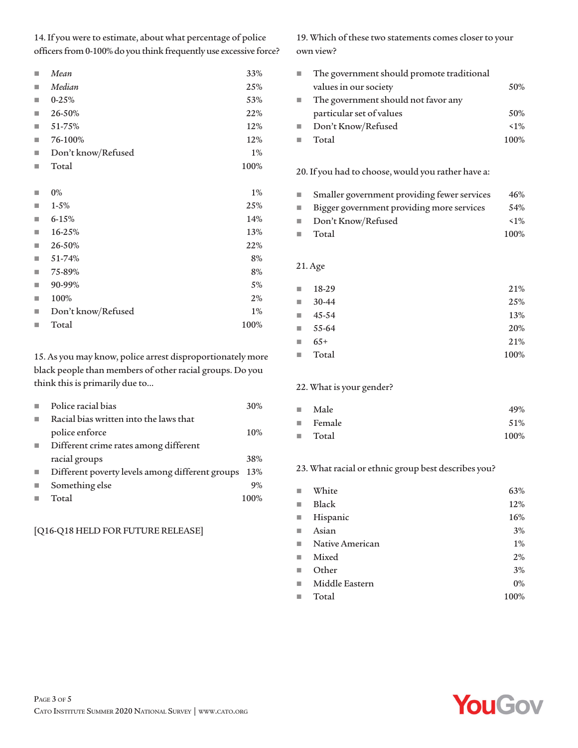14. If you were to estimate, about what percentage of police officers from 0-100% do you think frequently use excessive force?

| П | Mean               | 33%   |
|---|--------------------|-------|
| П | Median             | 25%   |
| ٠ | $0 - 25%$          | 53%   |
| П | 26-50%             | 22%   |
| ш | 51-75%             | 12%   |
| П | 76-100%            | 12%   |
| П | Don't know/Refused | $1\%$ |
| П | Total              | 100%  |
|   |                    |       |
| ш | $0\%$              | $1\%$ |
| П | $1 - 5%$           | 25%   |
| П | $6 - 15%$          | 14%   |
| П | 16-25%             | 13%   |
| П | 26-50%             | 22%   |
| ш | 51-74%             | 8%    |
| ш | 75-89%             | 8%    |
| П | 90-99%             | 5%    |
| П | 100%               | 2%    |
| ш | Don't know/Refused | 1%    |
| ш | Total              | 100%  |
|   |                    |       |

15. As you may know, police arrest disproportionately more black people than members of other racial groups. Do you think this is primarily due to…

| Police racial bias                              | 30%  |
|-------------------------------------------------|------|
| Racial bias written into the laws that          |      |
| police enforce                                  | 10%  |
| Different crime rates among different           |      |
| racial groups                                   | 38%  |
| Different poverty levels among different groups | 13%  |
| Something else                                  | 9%   |
| Total                                           | 100% |
|                                                 |      |

## [Q16-Q18 HELD FOR FUTURE RELEASE]

19. Which of these two statements comes closer to your own view?

| The government should promote traditional |       |
|-------------------------------------------|-------|
| values in our society                     | .50%  |
| The government should not favor any       |       |
| particular set of values                  | 50%   |
| Don't Know/Refused                        | $1\%$ |
| Total                                     | 100%  |

20. If you had to choose, would you rather have a:

| <b>The Contract of the Contract of the Contract of the Contract of the Contract of the Contract of the Contract of the Contract of the Contract of the Contract of the Contract of the Contract of The Contract of The Contract </b> | Smaller government providing fewer services | 46%   |
|--------------------------------------------------------------------------------------------------------------------------------------------------------------------------------------------------------------------------------------|---------------------------------------------|-------|
| H.                                                                                                                                                                                                                                   | Bigger government providing more services   | 54%   |
| <b>College</b>                                                                                                                                                                                                                       | Don't Know/Refused                          | $1\%$ |
|                                                                                                                                                                                                                                      | $\blacksquare$ Total                        | 100%  |

## 21. Age

| <b>College</b>              | 18-29                | 21%  |
|-----------------------------|----------------------|------|
| $\mathcal{L}_{\mathcal{A}}$ | $30-44$              | 25%  |
| <b>The Second</b>           | 45-54                | 13%  |
|                             | $\blacksquare$ 55-64 | 20%  |
| T.                          | $65+$                | 21%  |
| $\mathcal{L}_{\mathcal{A}}$ | Total                | 100% |

## 22. What is your gender?

| <b>College</b>      | Male                  | 49%  |
|---------------------|-----------------------|------|
|                     | $\blacksquare$ Female | 51%  |
| <b>The Contract</b> | Total                 | 100% |

## 23. What racial or ethnic group best describes you?

|                | White             | 63%   |
|----------------|-------------------|-------|
| п              | <b>Black</b>      | 12%   |
| $\blacksquare$ | Hispanic          | 16%   |
| ш              | Asian             | 3%    |
|                | ■ Native American | 1%    |
| ٠              | Mixed             | 2%    |
|                | Other             | 3%    |
| ٠              | Middle Eastern    | $0\%$ |
|                | Total             | 100%  |

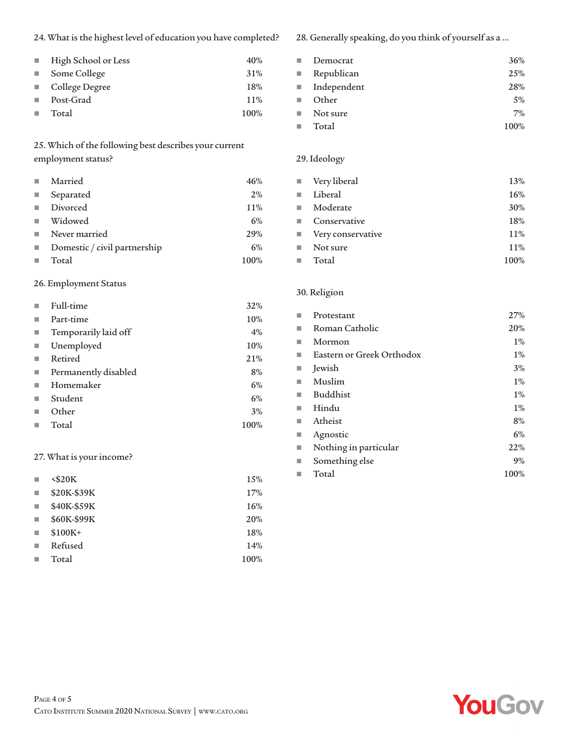24. What is the highest level of education you have completed?

| $\sim 100$ | High School or Less | 40%  |
|------------|---------------------|------|
|            | Some College        | 31%  |
|            | ■ College Degree    | 18%  |
| m.         | Post-Grad           | 11%  |
| a.         | Total               | 100% |

## 25. Which of the following best describes your current employment status?

| п                        | Married                      | 46%  |
|--------------------------|------------------------------|------|
| $\overline{\phantom{a}}$ | Separated                    | 2%   |
| п                        | Divorced                     | 11%  |
| п                        | Widowed                      | 6%   |
| ш                        | Never married                | 29%  |
| ш                        | Domestic / civil partnership | 6%   |
|                          | Total                        | 100% |

## 26. Employment Status

|   | Full-time            | 32%  |
|---|----------------------|------|
| п | Part-time            | 10%  |
| ш | Temporarily laid off | 4%   |
| п | Unemployed           | 10%  |
| ш | Retired              | 21%  |
| ш | Permanently disabled | 8%   |
| ш | Homemaker            | 6%   |
| ш | Student              | 6%   |
|   | Other                | 3%   |
|   | Total                | 100% |

## 27. What is your income?

| ш                        | $<$ \$20 $K$ | 15%  |
|--------------------------|--------------|------|
| ш                        | \$20K-\$39K  | 17%  |
| $\overline{\phantom{a}}$ | \$40K-\$59K  | 16%  |
| п                        | \$60K-\$99K  | 20%  |
| П                        | $$100K+$     | 18%  |
|                          | Refused      | 14%  |
|                          | Total        | 100% |

28. Generally speaking, do you think of yourself as a …

| <b>III</b>     | Democrat    | 36%   |
|----------------|-------------|-------|
| an i           | Republican  | 25%   |
| <b>College</b> | Independent | 28%   |
| <b>In</b>      | Other       | $5\%$ |
| a.             | Not sure    | 7%    |
| m.             | Total       | 100%  |

## 29. Ideology

|                | $\blacksquare$ Very liberal | 13%  |
|----------------|-----------------------------|------|
| m.             | Liberal                     | 16%  |
|                | $\blacksquare$ Moderate     | 30%  |
| <b>College</b> | Conservative                | 18%  |
|                | ■ Very conservative         | 11%  |
|                | $\blacksquare$ Not sure     | 11%  |
| ш              | Total                       | 100% |
|                |                             |      |

#### 30. Religion

|   | Protestant                | 27%   |
|---|---------------------------|-------|
|   | Roman Catholic            | 20%   |
|   | Mormon                    | $1\%$ |
|   | Eastern or Greek Orthodox | $1\%$ |
|   | Jewish                    | 3%    |
|   | Muslim                    | $1\%$ |
|   | <b>Buddhist</b>           | $1\%$ |
|   | Hindu                     | $1\%$ |
|   | Atheist                   | 8%    |
|   | Agnostic                  | 6%    |
| ш | Nothing in particular     | 22%   |
|   | Something else            | 9%    |
|   | Total                     | 100%  |